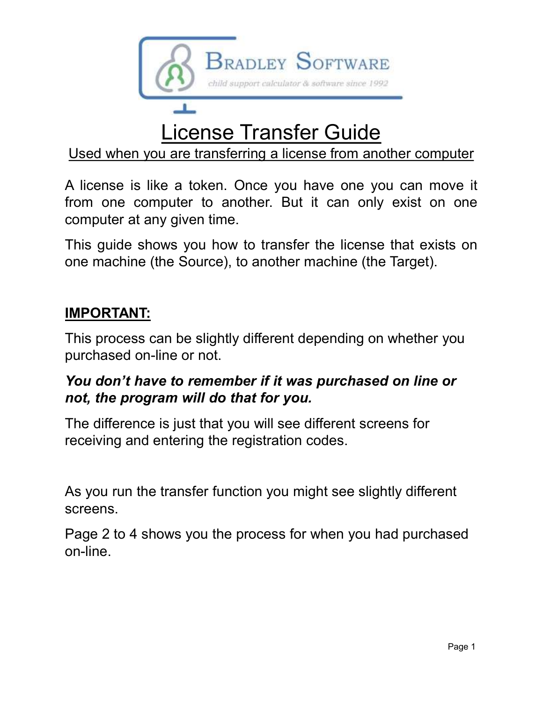

## License Transfer Guide

Used when you are transferring a license from another computer

Used when you are transferring a license from another computer<br>A license is like a token. Once you have one you can move it<br>from one computer to another. But it can only exist on one<br>computer at any given time.<br>This guide

#### IMPORTANT:

This process can be slightly different depending on whether you purchased on-line or not.

# not, the program will do that for you.

The difference is just that you will see different screens for receiving and entering the registration codes.

As you run the transfer function you might see slightly different screens.

Page 2 to 4 shows you the process for when you had purchased on-line.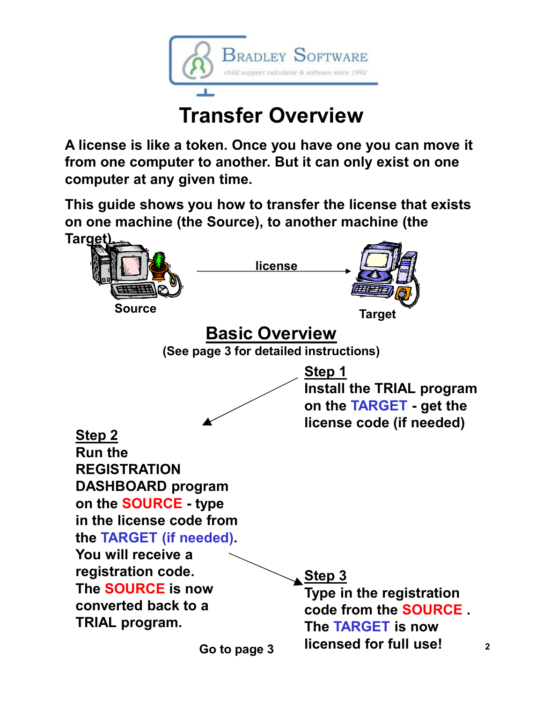

### Transfer Overview

A license is like a token. Once you have one you can move it from one computer to another. But it can only exist on one computer at any given time.

This guide shows you how to transfer the license that exists on one machine (the Source), to another machine (the Target)

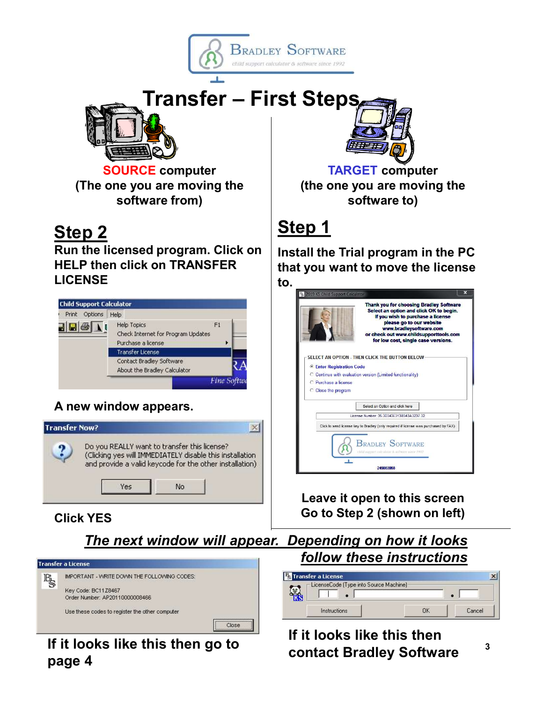





SOURCE computer (The one you are moving the software from)

### Step 2

Run the licensed program. Click on HELP then click on TRANSFER LICENSE



#### A new window appears.



#### Click YES



#### If it looks like this then go to<br>contact Bradley Software page 4



TARGET computer (the one you are moving the software to)

### Step 1

Install the Trial program in the PC that you want to move the license

|                                  | Thank you for choosing Bradley Software<br>Select an option and click OK to begin.<br>If you wish to purchase a license<br>please go to our website<br>www.bradleysoftware.com<br>or check out www.childsupporttools.com<br>for low cost, single case versions. |
|----------------------------------|-----------------------------------------------------------------------------------------------------------------------------------------------------------------------------------------------------------------------------------------------------------------|
|                                  | SELECT AN OPTION - THEN CLICK THE BUTTON BELOW                                                                                                                                                                                                                  |
| <b>C</b> Enter Registration Code |                                                                                                                                                                                                                                                                 |
|                                  | C Continue with evaluation version (Limited functionality)                                                                                                                                                                                                      |
|                                  |                                                                                                                                                                                                                                                                 |
| C. Purchase a license            |                                                                                                                                                                                                                                                                 |
|                                  |                                                                                                                                                                                                                                                                 |
| C Close the program              |                                                                                                                                                                                                                                                                 |
|                                  | Select an Option and click here                                                                                                                                                                                                                                 |
|                                  | License Number: 35 3D343F313B343A3237 32                                                                                                                                                                                                                        |
|                                  | Click to send license key to Bradley (only required if license was purchased by FAX)                                                                                                                                                                            |
|                                  | <b>BRADLEY SOFTWARE</b><br>child support calculator & software since 1992                                                                                                                                                                                       |

Leave it open to this screen Go to Step 2 (shown on left)

follow these instructions

| <b>&amp; Transfer a License</b><br>LicenseCode (Type into Source Machine) |        |
|---------------------------------------------------------------------------|--------|
|                                                                           |        |
| <b>Instructions</b>                                                       | Cancel |

## If it looks like this then